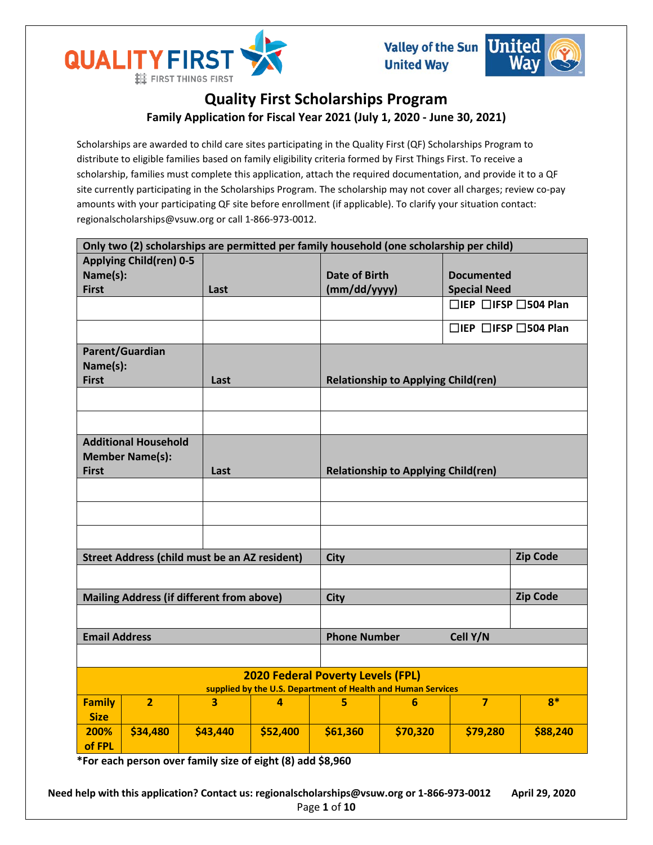



# **Quality First Scholarships Program Family Application for Fiscal Year 2021 (July 1, 2020 - June 30, 2021)**

Scholarships are awarded to child care sites participating in the Quality First (QF) Scholarships Program to distribute to eligible families based on family eligibility criteria formed by First Things First. To receive a scholarship, families must complete this application, attach the required documentation, and provide it to a QF site currently participating in the Scholarships Program. The scholarship may not cover all charges; review co-pay amounts with your participating QF site before enrollment (if applicable). To clarify your situation contact: regionalscholarships@vsuw.org or call 1-866-973-0012.

| Only two (2) scholarships are permitted per family household (one scholarship per child) |                                |                                                      |                |              |                                            |                                        |          |  |  |
|------------------------------------------------------------------------------------------|--------------------------------|------------------------------------------------------|----------------|--------------|--------------------------------------------|----------------------------------------|----------|--|--|
|                                                                                          | <b>Applying Child(ren) 0-5</b> |                                                      |                |              |                                            |                                        |          |  |  |
| Name(s):                                                                                 |                                |                                                      |                |              | <b>Date of Birth</b>                       | <b>Documented</b>                      |          |  |  |
| <b>First</b>                                                                             |                                | Last                                                 |                | (mm/dd/yyyy) |                                            | <b>Special Need</b>                    |          |  |  |
|                                                                                          |                                |                                                      |                |              |                                            | $\Box$ IEP $\Box$ IFSP $\Box$ 504 Plan |          |  |  |
|                                                                                          |                                |                                                      |                |              |                                            | $\Box$ IEP $\Box$ IFSP $\Box$ 504 Plan |          |  |  |
|                                                                                          | Parent/Guardian                |                                                      |                |              |                                            |                                        |          |  |  |
| Name(s):                                                                                 |                                |                                                      |                |              |                                            |                                        |          |  |  |
| <b>First</b>                                                                             |                                | Last                                                 |                |              | <b>Relationship to Applying Child(ren)</b> |                                        |          |  |  |
|                                                                                          |                                |                                                      |                |              |                                            |                                        |          |  |  |
|                                                                                          |                                |                                                      |                |              |                                            |                                        |          |  |  |
|                                                                                          | <b>Additional Household</b>    |                                                      |                |              |                                            |                                        |          |  |  |
|                                                                                          | <b>Member Name(s):</b>         |                                                      |                |              |                                            |                                        |          |  |  |
| <b>First</b>                                                                             |                                | Last                                                 |                |              | <b>Relationship to Applying Child(ren)</b> |                                        |          |  |  |
|                                                                                          |                                |                                                      |                |              |                                            |                                        |          |  |  |
|                                                                                          |                                |                                                      |                |              |                                            |                                        |          |  |  |
|                                                                                          |                                |                                                      |                |              |                                            |                                        |          |  |  |
|                                                                                          |                                |                                                      |                |              |                                            |                                        |          |  |  |
|                                                                                          |                                | <b>Street Address (child must be an AZ resident)</b> |                | <b>City</b>  |                                            |                                        |          |  |  |
|                                                                                          |                                |                                                      |                |              |                                            |                                        |          |  |  |
| <b>Mailing Address (if different from above)</b>                                         |                                |                                                      |                |              | <b>City</b>                                |                                        |          |  |  |
|                                                                                          |                                |                                                      |                |              | <b>Zip Code</b>                            |                                        |          |  |  |
| <b>Email Address</b>                                                                     |                                |                                                      |                |              | <b>Phone Number</b><br>Cell Y/N            |                                        |          |  |  |
|                                                                                          |                                |                                                      |                |              |                                            |                                        |          |  |  |
| <b>2020 Federal Poverty Levels (FPL)</b>                                                 |                                |                                                      |                |              |                                            |                                        |          |  |  |
| supplied by the U.S. Department of Health and Human Services                             |                                |                                                      |                |              | $\overline{7}$                             | $8*$                                   |          |  |  |
| <b>Family</b><br><b>Size</b>                                                             | $\overline{2}$                 | 3                                                    | $\overline{4}$ | 5            | $6\phantom{1}6$                            |                                        |          |  |  |
| 200%                                                                                     | \$34,480                       | \$43,440                                             | \$52,400       | \$61,360     | \$70,320                                   | \$79,280                               | \$88,240 |  |  |
| of FPL                                                                                   |                                |                                                      |                |              |                                            |                                        |          |  |  |

**\*For each person over family size of eight (8) add \$8,960**

**Need help with this application? Contact us: regionalscholarships@vsuw.org or 1-866-973-0012 April 29, 2020** Page **1** of **10**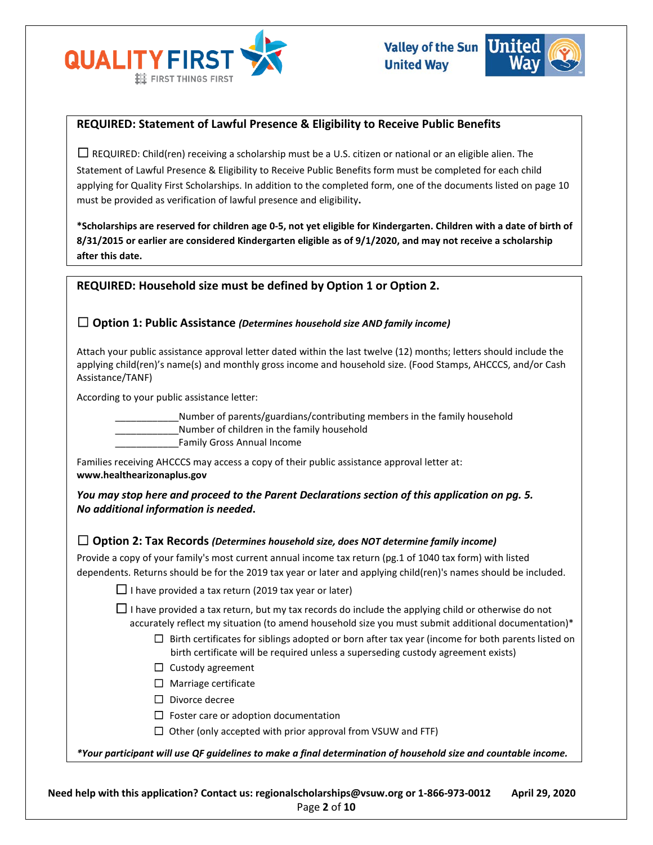



# **REQUIRED: Statement of Lawful Presence & Eligibility to Receive Public Benefits**

 $\Box$  REQUIRED: Child(ren) receiving a scholarship must be a U.S. citizen or national or an eligible alien. The Statement of Lawful Presence & Eligibility to Receive Public Benefits form must be completed for each child applying for Quality First Scholarships. In addition to the completed form, one of the documents listed on page 10 must be provided as verification of lawful presence and eligibility**.** 

**\*Scholarships are reserved for children age 0-5, not yet eligible for Kindergarten. Children with a date of birth of 8/31/2015 or earlier are considered Kindergarten eligible as of 9/1/2020, and may not receive a scholarship after this date.**

# **REQUIRED: Household size must be defined by Option 1 or Option 2.**

# ☐ **Option 1: Public Assistance** *(Determines household size AND family income)*

Attach your public assistance approval letter dated within the last twelve (12) months; letters should include the applying child(ren)'s name(s) and monthly gross income and household size. (Food Stamps, AHCCCS, and/or Cash Assistance/TANF)

According to your public assistance letter:

\_\_\_\_\_\_\_\_\_\_\_\_Number of parents/guardians/contributing members in the family household Number of children in the family household

\_\_\_\_\_\_\_\_\_\_\_\_Family Gross Annual Income

Families receiving AHCCCS may access a copy of their public assistance approval letter at: **www.healthearizonaplus.gov**

*You may stop here and proceed to the Parent Declarations section of this application on pg. 5. No additional information is needed***.**

## ☐ **Option 2: Tax Records** *(Determines household size, does NOT determine family income)*

Provide a copy of your family's most current annual income tax return (pg.1 of 1040 tax form) with listed dependents. Returns should be for the 2019 tax year or later and applying child(ren)'s names should be included.

 $\Box$  I have provided a tax return (2019 tax year or later)

 $\Box$  I have provided a tax return, but my tax records do include the applying child or otherwise do not accurately reflect my situation (to amend household size you must submit additional documentation)\*

- $\Box$  Birth certificates for siblings adopted or born after tax year (income for both parents listed on birth certificate will be required unless a superseding custody agreement exists)
- □ Custody agreement
- □ Marriage certificate
- ☐ Divorce decree
- $\Box$  Foster care or adoption documentation
- $\Box$  Other (only accepted with prior approval from VSUW and FTF)

*\*Your participant will use QF guidelines to make a final determination of household size and countable income.*

**Need help with this application? Contact us: regionalscholarships@vsuw.org or 1-866-973-0012 April 29, 2020** Page **2** of **10**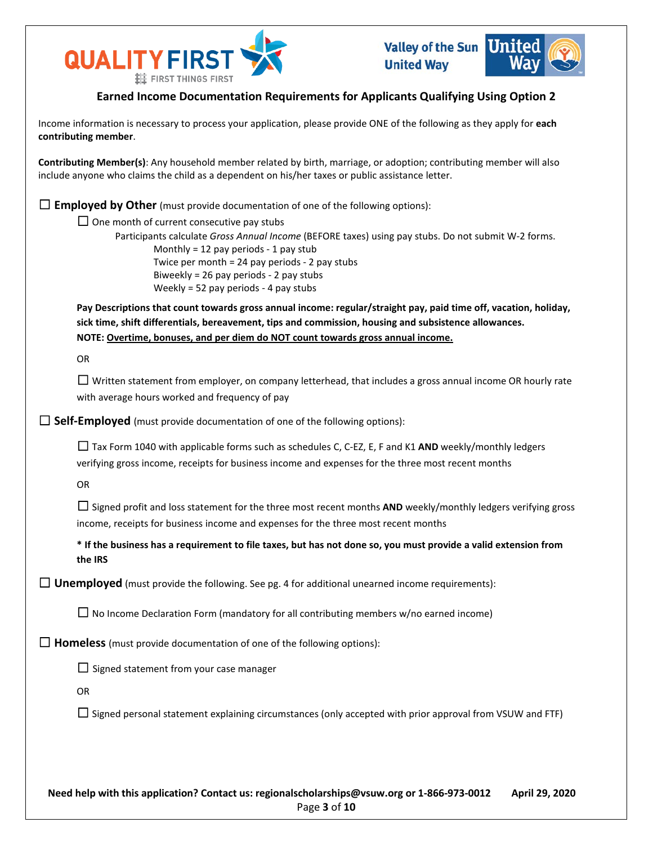



# **Earned Income Documentation Requirements for Applicants Qualifying Using Option 2**

Income information is necessary to process your application, please provide ONE of the following as they apply for **each contributing member**.

**Contributing Member(s)**: Any household member related by birth, marriage, or adoption; contributing member will also include anyone who claims the child as a dependent on his/her taxes or public assistance letter.

☐ **Employed by Other** (must provide documentation of one of the following options):

 $\Box$  One month of current consecutive pay stubs

Participants calculate *Gross Annual Income* (BEFORE taxes) using pay stubs. Do not submit W-2 forms. Monthly = 12 pay periods  $-1$  pay stub Twice per month = 24 pay periods - 2 pay stubs Biweekly = 26 pay periods - 2 pay stubs Weekly = 52 pay periods - 4 pay stubs

**Pay Descriptions that count towards gross annual income: regular/straight pay, paid time off, vacation, holiday, sick time, shift differentials, bereavement, tips and commission, housing and subsistence allowances. NOTE: Overtime, bonuses, and per diem do NOT count towards gross annual income.**

OR

 $\Box$  Written statement from employer, on company letterhead, that includes a gross annual income OR hourly rate with average hours worked and frequency of pay

□ **Self-Employed** (must provide documentation of one of the following options):

☐ Tax Form 1040 with applicable forms such as schedules C, C-EZ, E, F and K1 **AND** weekly/monthly ledgers verifying gross income, receipts for business income and expenses for the three most recent months

OR

 $□$  Signed profit and loss statement for the three most recent months **AND** weekly/monthly ledgers verifying gross income, receipts for business income and expenses for the three most recent months

**\* If the business has a requirement to file taxes, but has not done so, you must provide a valid extension from the IRS**

 $\Box$  **Unemployed** (must provide the following. See pg. 4 for additional unearned income requirements):

 $\Box$  No Income Declaration Form (mandatory for all contributing members w/no earned income)

 $\Box$  **Homeless** (must provide documentation of one of the following options):

 $\Box$  Signed statement from your case manager

OR

 $\Box$  Signed personal statement explaining circumstances (only accepted with prior approval from VSUW and FTF)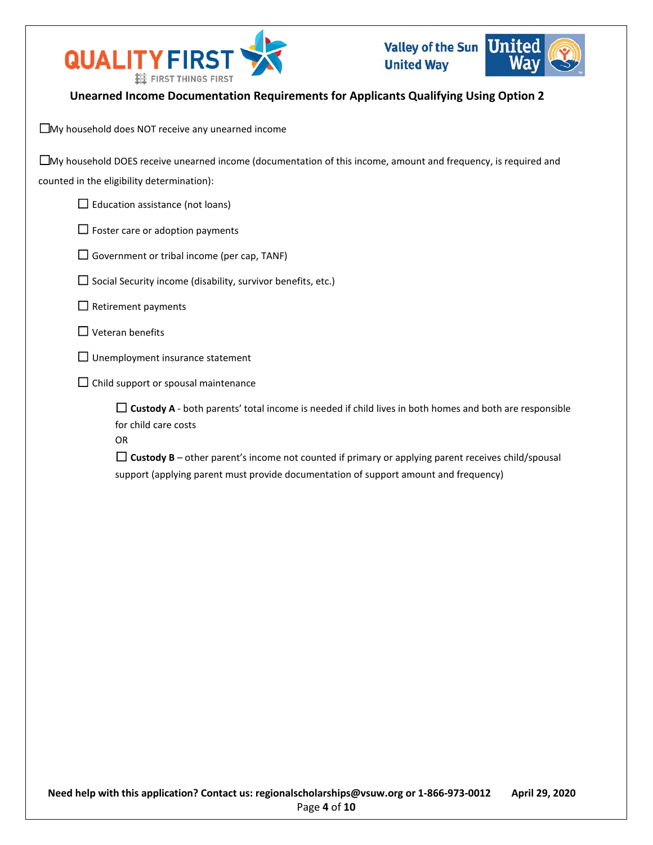

# **Unearned Income Documentation Requirements for Applicants Qualifying Using Option 2**

☐My household does NOT receive any unearned income

| $\Box$ My household DOES receive unearned income (documentation of this income, amount and frequency, is required and |
|-----------------------------------------------------------------------------------------------------------------------|
| counted in the eligibility determination):                                                                            |

 $\Box$  Education assistance (not loans)

 $\Box$  Foster care or adoption payments

 $\Box$  Government or tribal income (per cap, TANF)

 $\Box$  Social Security income (disability, survivor benefits, etc.)

 $\Box$  Retirement payments

- $\Box$  Veteran benefits
- $\Box$  Unemployment insurance statement
- $\Box$  Child support or spousal maintenance

 $\Box$  **Custody A** - both parents' total income is needed if child lives in both homes and both are responsible for child care costs

OR

 $\Box$  Custody B – other parent's income not counted if primary or applying parent receives child/spousal support (applying parent must provide documentation of support amount and frequency)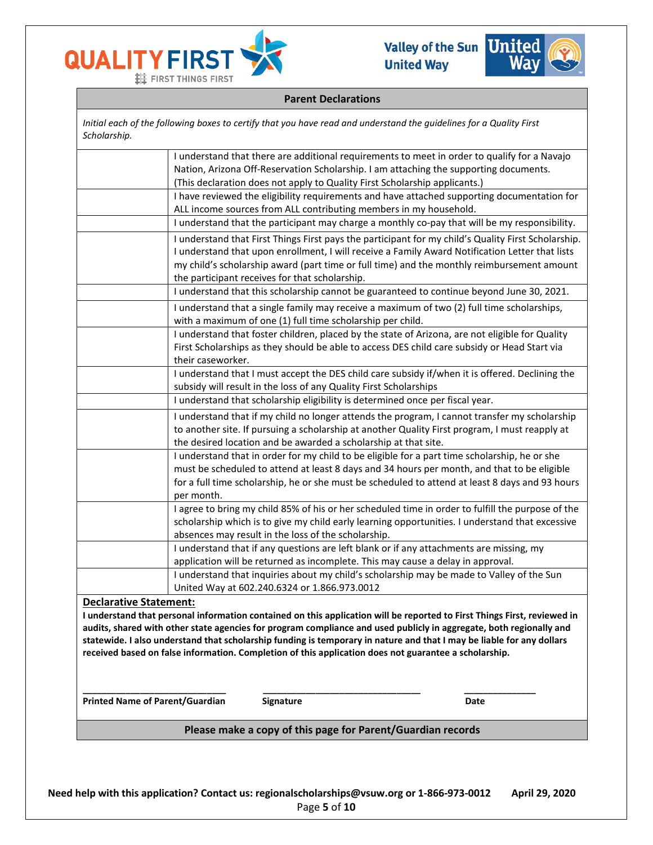



## **Parent Declarations**

*Initial each of the following boxes to certify that you have read and understand the guidelines for a Quality First Scholarship.* I understand that there are additional requirements to meet in order to qualify for a Navajo

| <b>Printed Name of Parent/Guardian</b> |                   | <b>Signature</b>                                                  | Date                                                                                                                                                                                                                           |  |
|----------------------------------------|-------------------|-------------------------------------------------------------------|--------------------------------------------------------------------------------------------------------------------------------------------------------------------------------------------------------------------------------|--|
|                                        |                   |                                                                   |                                                                                                                                                                                                                                |  |
|                                        |                   |                                                                   | statewide. I also understand that scholarship funding is temporary in nature and that I may be liable for any dollars<br>received based on false information. Completion of this application does not guarantee a scholarship. |  |
|                                        |                   |                                                                   | audits, shared with other state agencies for program compliance and used publicly in aggregate, both regionally and                                                                                                            |  |
|                                        |                   |                                                                   | I understand that personal information contained on this application will be reported to First Things First, reviewed in                                                                                                       |  |
| <b>Declarative Statement:</b>          |                   |                                                                   |                                                                                                                                                                                                                                |  |
|                                        |                   | United Way at 602.240.6324 or 1.866.973.0012                      |                                                                                                                                                                                                                                |  |
|                                        |                   |                                                                   | application will be returned as incomplete. This may cause a delay in approval.<br>I understand that inquiries about my child's scholarship may be made to Valley of the Sun                                                   |  |
|                                        |                   |                                                                   | I understand that if any questions are left blank or if any attachments are missing, my                                                                                                                                        |  |
|                                        |                   | absences may result in the loss of the scholarship.               |                                                                                                                                                                                                                                |  |
|                                        |                   |                                                                   | scholarship which is to give my child early learning opportunities. I understand that excessive                                                                                                                                |  |
|                                        |                   |                                                                   | I agree to bring my child 85% of his or her scheduled time in order to fulfill the purpose of the                                                                                                                              |  |
|                                        | per month.        |                                                                   |                                                                                                                                                                                                                                |  |
|                                        |                   |                                                                   | for a full time scholarship, he or she must be scheduled to attend at least 8 days and 93 hours                                                                                                                                |  |
|                                        |                   |                                                                   | must be scheduled to attend at least 8 days and 34 hours per month, and that to be eligible                                                                                                                                    |  |
|                                        |                   |                                                                   | I understand that in order for my child to be eligible for a part time scholarship, he or she                                                                                                                                  |  |
|                                        |                   | the desired location and be awarded a scholarship at that site.   |                                                                                                                                                                                                                                |  |
|                                        |                   |                                                                   | I understand that if my child no longer attends the program, I cannot transfer my scholarship<br>to another site. If pursuing a scholarship at another Quality First program, I must reapply at                                |  |
|                                        |                   |                                                                   |                                                                                                                                                                                                                                |  |
|                                        |                   | subsidy will result in the loss of any Quality First Scholarships | I understand that scholarship eligibility is determined once per fiscal year.                                                                                                                                                  |  |
|                                        |                   |                                                                   | I understand that I must accept the DES child care subsidy if/when it is offered. Declining the                                                                                                                                |  |
|                                        | their caseworker. |                                                                   |                                                                                                                                                                                                                                |  |
|                                        |                   |                                                                   | First Scholarships as they should be able to access DES child care subsidy or Head Start via                                                                                                                                   |  |
|                                        |                   |                                                                   | I understand that foster children, placed by the state of Arizona, are not eligible for Quality                                                                                                                                |  |
|                                        |                   | with a maximum of one (1) full time scholarship per child.        |                                                                                                                                                                                                                                |  |
|                                        |                   |                                                                   | I understand that this scholarship cannot be guaranteed to continue beyond June 30, 2021.<br>I understand that a single family may receive a maximum of two (2) full time scholarships,                                        |  |
|                                        |                   | the participant receives for that scholarship.                    |                                                                                                                                                                                                                                |  |
|                                        |                   |                                                                   | my child's scholarship award (part time or full time) and the monthly reimbursement amount                                                                                                                                     |  |
|                                        |                   |                                                                   | I understand that upon enrollment, I will receive a Family Award Notification Letter that lists                                                                                                                                |  |
|                                        |                   |                                                                   | I understand that First Things First pays the participant for my child's Quality First Scholarship.                                                                                                                            |  |
|                                        |                   |                                                                   | I understand that the participant may charge a monthly co-pay that will be my responsibility.                                                                                                                                  |  |
|                                        |                   |                                                                   | ALL income sources from ALL contributing members in my household.                                                                                                                                                              |  |
|                                        |                   |                                                                   | I have reviewed the eligibility requirements and have attached supporting documentation for                                                                                                                                    |  |
|                                        |                   |                                                                   | (This declaration does not apply to Quality First Scholarship applicants.)                                                                                                                                                     |  |
|                                        |                   |                                                                   | I understand that there are additional requirements to meet in order to qualify for a Navajo<br>Nation, Arizona Off-Reservation Scholarship. I am attaching the supporting documents.                                          |  |

**Please make a copy of this page for Parent/Guardian records**

**Need help with this application? Contact us: regionalscholarships@vsuw.org or 1-866-973-0012 April 29, 2020** Page **5** of **10**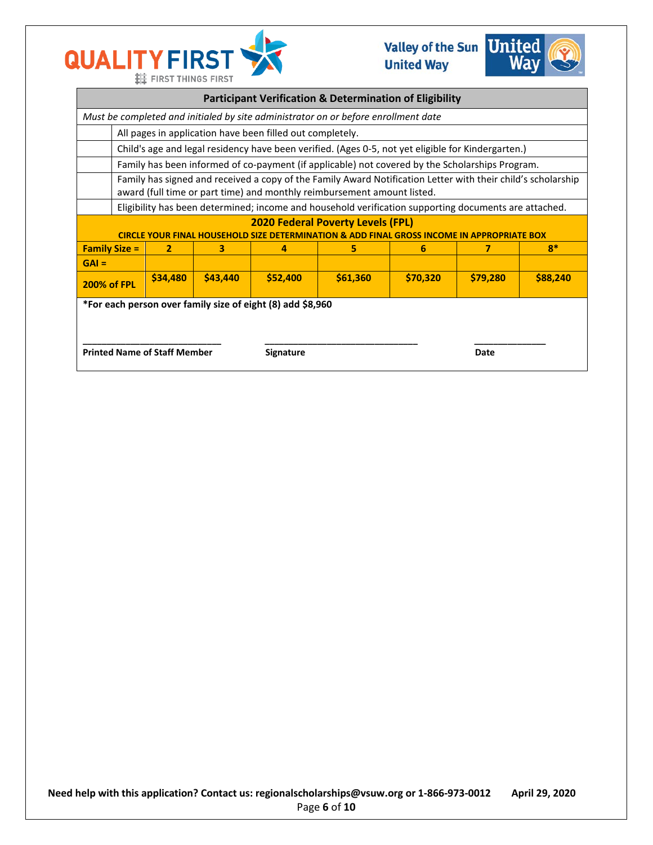



| <b>Participant Verification &amp; Determination of Eligibility</b>                                                                     |                                                                                                                                                                                         |          |          |          |          |          |          |          |
|----------------------------------------------------------------------------------------------------------------------------------------|-----------------------------------------------------------------------------------------------------------------------------------------------------------------------------------------|----------|----------|----------|----------|----------|----------|----------|
| Must be completed and initialed by site administrator on or before enrollment date                                                     |                                                                                                                                                                                         |          |          |          |          |          |          |          |
|                                                                                                                                        | All pages in application have been filled out completely.                                                                                                                               |          |          |          |          |          |          |          |
|                                                                                                                                        | Child's age and legal residency have been verified. (Ages 0-5, not yet eligible for Kindergarten.)                                                                                      |          |          |          |          |          |          |          |
|                                                                                                                                        | Family has been informed of co-payment (if applicable) not covered by the Scholarships Program.                                                                                         |          |          |          |          |          |          |          |
|                                                                                                                                        | Family has signed and received a copy of the Family Award Notification Letter with their child's scholarship<br>award (full time or part time) and monthly reimbursement amount listed. |          |          |          |          |          |          |          |
|                                                                                                                                        | Eligibility has been determined; income and household verification supporting documents are attached.                                                                                   |          |          |          |          |          |          |          |
| <b>2020 Federal Poverty Levels (FPL)</b><br>CIRCLE YOUR FINAL HOUSEHOLD SIZE DETERMINATION & ADD FINAL GROSS INCOME IN APPROPRIATE BOX |                                                                                                                                                                                         |          |          |          |          |          |          |          |
| 5<br>$R^*$<br><b>Family Size =</b><br>$\overline{2}$<br>3<br>7<br>4<br>6                                                               |                                                                                                                                                                                         |          |          |          |          |          |          |          |
| $GAI =$                                                                                                                                |                                                                                                                                                                                         |          |          |          |          |          |          |          |
| <b>200% of FPL</b>                                                                                                                     |                                                                                                                                                                                         | \$34,480 | \$43,440 | \$52,400 | \$61,360 | \$70,320 | \$79,280 | \$88,240 |
| *For each person over family size of eight (8) add \$8,960                                                                             |                                                                                                                                                                                         |          |          |          |          |          |          |          |
| <b>Printed Name of Staff Member</b><br><b>Signature</b><br>Date                                                                        |                                                                                                                                                                                         |          |          |          |          |          |          |          |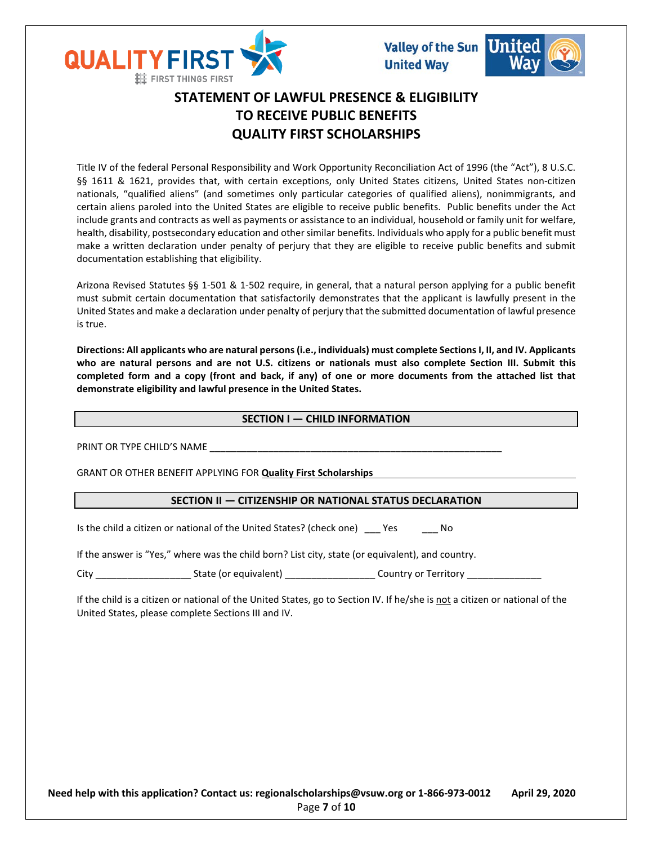



# **STATEMENT OF LAWFUL PRESENCE & ELIGIBILITY TO RECEIVE PUBLIC BENEFITS QUALITY FIRST SCHOLARSHIPS**

Title IV of the federal Personal Responsibility and Work Opportunity Reconciliation Act of 1996 (the "Act"), 8 U.S.C. §§ 1611 & 1621, provides that, with certain exceptions, only United States citizens, United States non-citizen nationals, "qualified aliens" (and sometimes only particular categories of qualified aliens), nonimmigrants, and certain aliens paroled into the United States are eligible to receive public benefits. Public benefits under the Act include grants and contracts as well as payments or assistance to an individual, household or family unit for welfare, health, disability, postsecondary education and other similar benefits. Individuals who apply for a public benefit must make a written declaration under penalty of perjury that they are eligible to receive public benefits and submit documentation establishing that eligibility.

Arizona Revised Statutes §§ 1-501 & 1-502 require, in general, that a natural person applying for a public benefit must submit certain documentation that satisfactorily demonstrates that the applicant is lawfully present in the United States and make a declaration under penalty of perjury that the submitted documentation of lawful presence is true.

**Directions: All applicants who are natural persons (i.e., individuals) must complete Sections I, II, and IV. Applicants who are natural persons and are not U.S. citizens or nationals must also complete Section III. Submit this completed form and a copy (front and back, if any) of one or more documents from the attached list that demonstrate eligibility and lawful presence in the United States.** 

## **SECTION I — CHILD INFORMATION**

PRINT OR TYPE CHILD'S NAME

GRANT OR OTHER BENEFIT APPLYING FOR **Quality First Scholarships**

## **SECTION II — CITIZENSHIP OR NATIONAL STATUS DECLARATION**

Is the child a citizen or national of the United States? (check one) Yes No

If the answer is "Yes," where was the child born? List city, state (or equivalent), and country.

City City Country or Territory State (or equivalent) Country or Territory Country or Territory Country or Territory

If the child is a citizen or national of the United States, go to Section IV. If he/she is not a citizen or national of the United States, please complete Sections III and IV.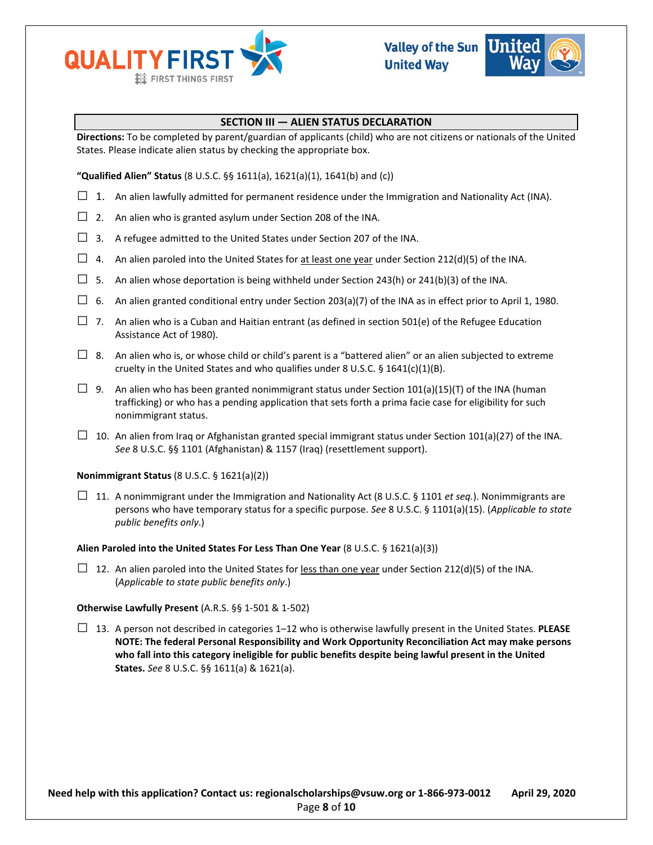



## **SECTION III — ALIEN STATUS DECLARATION**

**Directions:** To be completed by parent/guardian of applicants (child) who are not citizens or nationals of the United States. Please indicate alien status by checking the appropriate box.

**"Qualified Alien" Status** (8 U.S.C. §§ 1611(a), 1621(a)(1), 1641(b) and (c))

- $\Box$  1. An alien lawfully admitted for permanent residence under the Immigration and Nationality Act (INA).
- $\Box$  2. An alien who is granted asylum under Section 208 of the INA.
- $\Box$  3. A refugee admitted to the United States under Section 207 of the INA.
- $\Box$  4. An alien paroled into the United States for at least one year under Section 212(d)(5) of the INA.
- $\square$  5. An alien whose deportation is being withheld under Section 243(h) or 241(b)(3) of the INA.
- $\Box$  6. An alien granted conditional entry under Section 203(a)(7) of the INA as in effect prior to April 1, 1980.
- $\Box$  7. An alien who is a Cuban and Haitian entrant (as defined in section 501(e) of the Refugee Education Assistance Act of 1980).
- $\Box$  8. An alien who is, or whose child or child's parent is a "battered alien" or an alien subjected to extreme cruelty in the United States and who qualifies under 8 U.S.C. § 1641(c)(1)(B).
- □ 9. An alien who has been granted nonimmigrant status under Section 101(a)(15)(T) of the INA (human trafficking) or who has a pending application that sets forth a prima facie case for eligibility for such nonimmigrant status.
- $\Box$  10. An alien from Iraq or Afghanistan granted special immigrant status under Section 101(a)(27) of the INA. *See* 8 U.S.C. §§ 1101 (Afghanistan) & 1157 (Iraq) (resettlement support).

## **Nonimmigrant Status** (8 U.S.C. § 1621(a)(2))

 $\Box$  11. A nonimmigrant under the Immigration and Nationality Act (8 U.S.C. § 1101 *et seq.*). Nonimmigrants are persons who have temporary status for a specific purpose. *See* 8 U.S.C. § 1101(a)(15). (*Applicable to state public benefits only*.)

## **Alien Paroled into the United States For Less Than One Year** (8 U.S.C. § 1621(a)(3))

 $\Box$  12. An alien paroled into the United States for less than one year under Section 212(d)(5) of the INA. (*Applicable to state public benefits only*.)

## **Otherwise Lawfully Present** (A.R.S. §§ 1-501 & 1-502)

□ 13. A person not described in categories 1–12 who is otherwise lawfully present in the United States. **PLEASE NOTE: The federal Personal Responsibility and Work Opportunity Reconciliation Act may make persons who fall into this category ineligible for public benefits despite being lawful present in the United States.** *See* 8 U.S.C. §§ 1611(a) & 1621(a).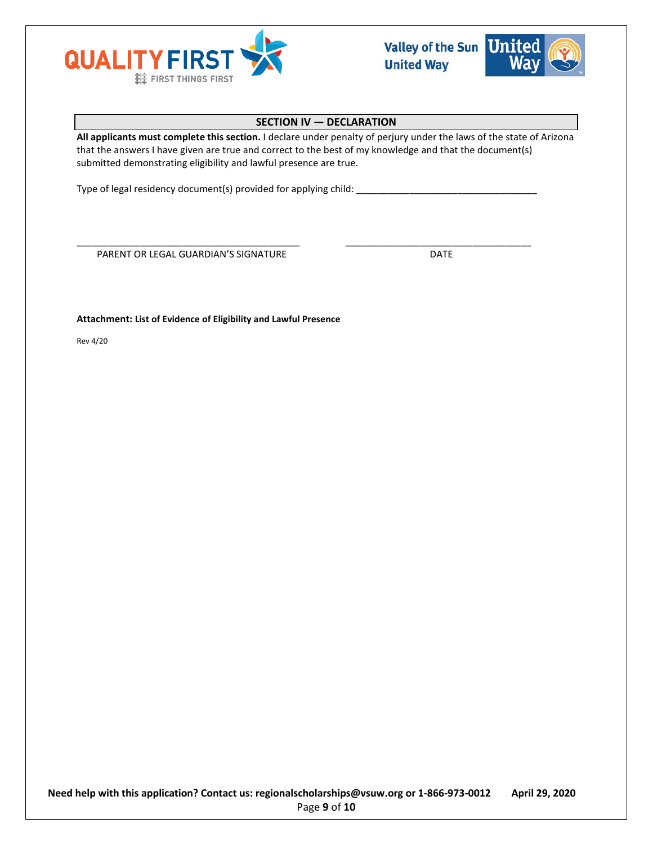



# **SECTION IV — DECLARATION**

**All applicants must complete this section.** I declare under penalty of perjury under the laws of the state of Arizona that the answers I have given are true and correct to the best of my knowledge and that the document(s) submitted demonstrating eligibility and lawful presence are true.

\_\_\_\_\_\_\_\_\_\_\_\_\_\_\_\_\_\_\_\_\_\_\_\_\_\_\_\_\_\_\_\_\_\_\_\_\_\_\_\_\_\_ \_\_\_\_\_\_\_\_\_\_\_\_\_\_\_\_\_\_\_\_\_\_\_\_\_\_\_\_\_\_\_\_\_\_\_

Type of legal residency document(s) provided for applying child: \_\_\_\_\_\_\_\_\_\_\_\_\_\_\_

PARENT OR LEGAL GUARDIAN'S SIGNATURE **Example 20 SIGNATURE** 

**Attachment: List of Evidence of Eligibility and Lawful Presence** 

Rev 4/20